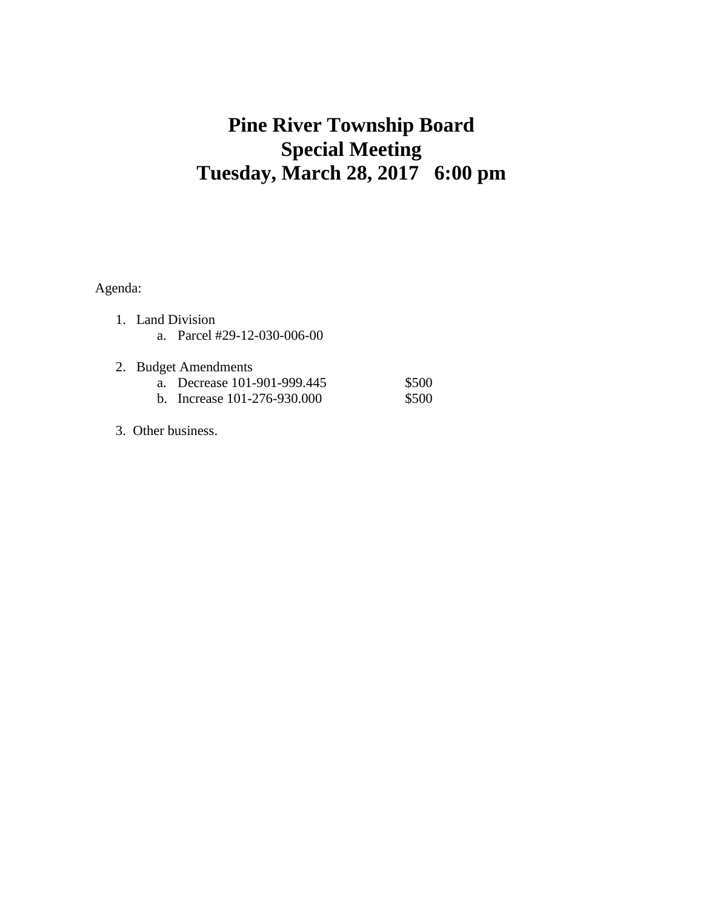## **Pine River Township Board Special Meeting Tuesday, March 28, 2017 6:00 pm**

Agenda:

- 1. Land Division a. Parcel #29-12-030-006-00
- 2. Budget Amendments a. Decrease 101-901-999.445 \$500 b. Increase 101-276-930.000 \$500
- 3. Other business.